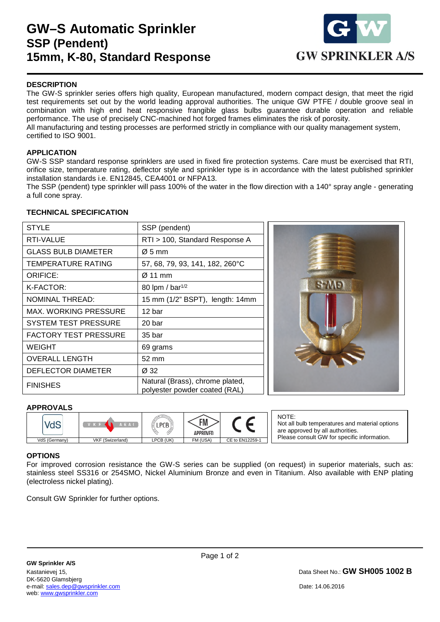## **GW–S Automatic Sprinkler SSP (Pendent) 15mm, K-80, Standard Response**



## **DESCRIPTION**

The GW-S sprinkler series offers high quality, European manufactured, modern compact design, that meet the rigid test requirements set out by the world leading approval authorities. The unique GW PTFE / double groove seal in combination with high end heat responsive frangible glass bulbs guarantee durable operation and reliable performance. The use of precisely CNC-machined hot forged frames eliminates the risk of porosity. All manufacturing and testing processes are performed strictly in compliance with our quality management system, certified to ISO 9001.

### **APPLICATION**

GW-S SSP standard response sprinklers are used in fixed fire protection systems. Care must be exercised that RTI, orifice size, temperature rating, deflector style and sprinkler type is in accordance with the latest published sprinkler installation standards i.e. EN12845, CEA4001 or NFPA13.

The SSP (pendent) type sprinkler will pass 100% of the water in the flow direction with a 140° spray angle - generating a full cone spray.

### **TECHNICAL SPECIFICATION**

| <b>STYLE</b>                 | SSP (pendent)                                                    |  |
|------------------------------|------------------------------------------------------------------|--|
| RTI-VALUE                    | RTI > 100, Standard Response A                                   |  |
| <b>GLASS BULB DIAMETER</b>   | $\varnothing$ 5 mm                                               |  |
| TEMPERATURE RATING           | 57, 68, 79, 93, 141, 182, 260°C                                  |  |
| <b>ORIFICE:</b>              | $\varnothing$ 11 mm                                              |  |
| K-FACTOR:                    | 80 lpm / bar <sup>1/2</sup>                                      |  |
| <b>NOMINAL THREAD:</b>       | 15 mm (1/2" BSPT), length: 14mm                                  |  |
| <b>MAX. WORKING PRESSURE</b> | 12 bar                                                           |  |
| <b>SYSTEM TEST PRESSURE</b>  | 20 bar                                                           |  |
| <b>FACTORY TEST PRESSURE</b> | 35 bar                                                           |  |
| <b>WEIGHT</b>                | 69 grams                                                         |  |
| <b>OVERALL LENGTH</b>        | 52 mm                                                            |  |
| DEFLECTOR DIAMETER           | Ø 32                                                             |  |
| <b>FINISHES</b>              | Natural (Brass), chrome plated,<br>polyester powder coated (RAL) |  |



### **APPROVALS**

|               | \ E A I          |           | <b>FM</b><br>APPROVED |                 |
|---------------|------------------|-----------|-----------------------|-----------------|
| VdS (Germany) | VKF (Swizerland) | LPCB (UK) | FM (USA)              | CE to EN12259-1 |

NOTE: Not all bulb temperatures and material options are approved by all authorities. Please consult GW for specific information.

### **OPTIONS**

1

For improved corrosion resistance the GW-S series can be supplied (on request) in superior materials, such as: stainless steel SS316 or 254SMO, Nickel Aluminium Bronze and even in Titanium. Also available with ENP plating (electroless nickel plating).

Consult GW Sprinkler for further options.